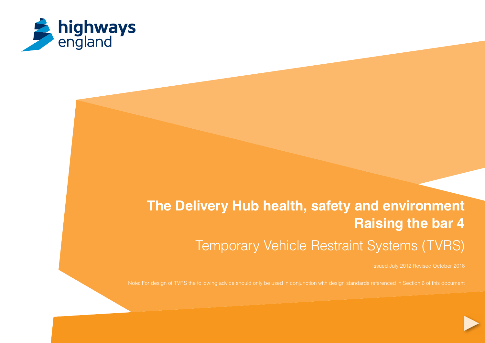

# **The Delivery Hub health, safety and environment Raising the bar 4** Temporary Vehicle Restraint Systems (TVRS)

Issued July 2012 Revised October 2016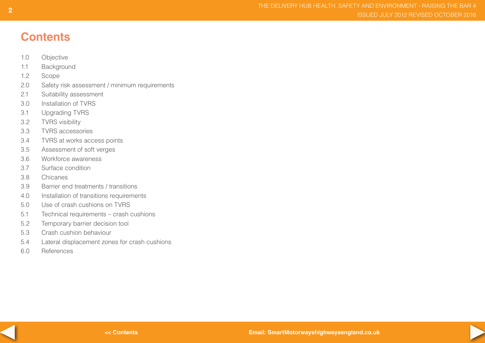## **Contents**

- 1.0 Objective
- 1.1 Background
- 1.2 Scope
- 2.0 Safety risk assessment / minimum requirements
- 2.1 Suitability assessment
- 3.0 Installation of TVRS
- 3.1 Upgrading TVRS
- 3.2 TVRS visibility
- 3.3 TVRS accessories
- 3.4 TVRS at works access points
- 3.5 Assessment of soft verges
- 3.6 Workforce awareness
- 3.7 Surface condition
- 3.8 Chicanes
- 3.9 Barrier end treatments / transitions
- 4.0 Installation of transitions requirements
- 5.0 Use of crash cushions on TVRS
- 5.1 Technical requirements crash cushions
- 5.2 Temporary barrier decision tool
- 5.3 Crash cushion behaviour
- 5.4 Lateral displacement zones for crash cushions
- 6.0 References



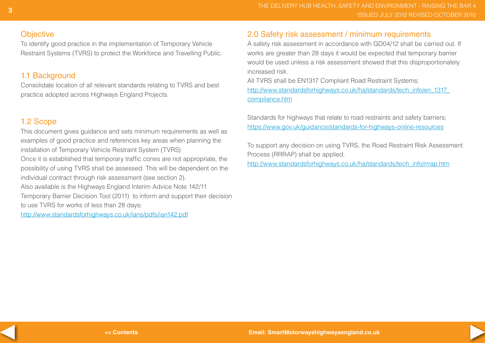### **Objective**

To identify good practice in the implementation of Temporary Vehicle Restraint Systems (TVRS) to protect the Workforce and Travelling Public.

## 1.1 Background

Consolidate location of all relevant standards relating to TVRS and best practice adopted across Highways England Projects.

## 1.2 Scope

This document gives guidance and sets minimum requirements as well as examples of good practice and references key areas when planning the installation of Temporary Vehicle Restraint System (TVRS) Once it is established that temporary traffic cones are not appropriate, the possibility of using TVRS shall be assessed. This will be dependent on the individual contract through risk assessment (see section 2). Also available is the Highways England Interim Advice Note 142/11 Temporary Barrier Decision Tool (2011) to inform and support their decision to use TVRS for works of less than 28 days;

http://www.standardsforhighways.co.uk/ians/pdfs/ian142.pdf

## 2.0 Safety risk assessment / minimum requirements

A safety risk assessment in accordance with GD04/12 shall be carried out. If works are greater than 28 days it would be expected that temporary barrier would be used unless a risk assessment showed that this disproportionately increased risk.

All TVRS shall be EN1317 Compliant Road Restraint Systems; http://www.standardsforhighways.co.uk/ha/standards/tech\_info/en\_1317 [compliance.htm](http://www.standardsforhighways.co.uk/ha/standards/tech_info/en_1317_compliance.htm )

Standards for highways that relate to road restraints and safety barriers; https://www.gov.uk/guidance/standards-for-highways-online-resources

To support any decision on using TVRS, the Road Restraint Risk Assessment Process (RRRAP) shall be applied.

http://www.standardsforhighways.co.uk/ha/standards/tech\_info/rrrap.htm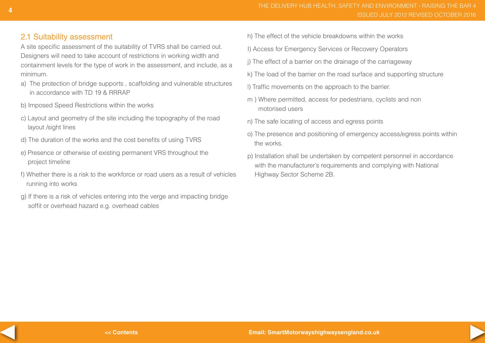## 2.1 Suitability assessment

A site specific assessment of the suitability of TVRS shall be carried out. Designers will need to take account of restrictions in working width and containment levels for the type of work in the assessment, and include, as a minimum.

- a) The protection of bridge supports , scaffolding and vulnerable structures in accordance with TD 19 & RRRAP
- b) Imposed Speed Restrictions within the works
- c) Layout and geometry of the site including the topography of the road layout /sight lines
- d) The duration of the works and the cost benefits of using TVRS
- e) Presence or otherwise of existing permanent VRS throughout the project timeline
- f) Whether there is a risk to the workforce or road users as a result of vehicles running into works
- g) If there is a risk of vehicles entering into the verge and impacting bridge soffit or overhead hazard e.g. overhead cables
- h) The effect of the vehicle breakdowns within the works
- I) Access for Emergency Services or Recovery Operators
- j) The effect of a barrier on the drainage of the carriageway
- k) The load of the barrier on the road surface and supporting structure
- l) Traffic movements on the approach to the barrier.
- m ) Where permitted, access for pedestrians, cyclists and non motorised users
- n) The safe locating of access and egress points
- o) The presence and positioning of emergency access/egress points within the works.
- p) Installation shall be undertaken by competent personnel in accordance with the manufacturer's requirements and complying with National Highway Sector Scheme 2B.

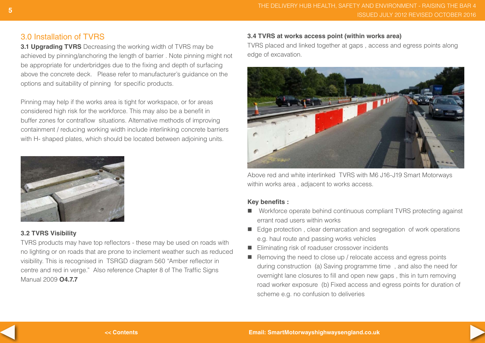## 3.0 Installation of TVRS

**3.1 Upgrading TVRS** Decreasing the working width of TVRS may be achieved by pinning/anchoring the length of barrier . Note pinning might not be appropriate for underbridges due to the fixing and depth of surfacing above the concrete deck. Please refer to manufacturer's guidance on the options and suitability of pinning for specific products.

Pinning may help if the works area is tight for workspace, or for areas considered high risk for the workforce. This may also be a benefit in buffer zones for contraflow situations. Alternative methods of improving containment / reducing working width include interlinking concrete barriers with H- shaped plates, which should be located between adjoining units.



#### **3.2 TVRS Visibility**

TVRS products may have top reflectors - these may be used on roads with no lighting or on roads that are prone to inclement weather such as reduced visibility. This is recognised in TSRGD diagram 560 "Amber reflector in centre and red in verge." Also reference Chapter 8 of The Traffic Signs Manual 2009 **O4.7.7**

#### **3.4 TVRS at works access point (within works area)**

TVRS placed and linked together at gaps , access and egress points along edge of excavation.



Above red and white interlinked TVRS with M6 J16-J19 Smart Motorways within works area , adjacent to works access.

#### **Key benefits :**

- Workforce operate behind continuous compliant TVRS protecting against errant road users within works
- Edge protection, clear demarcation and segregation of work operations e.g. haul route and passing works vehicles
- Eliminating risk of roaduser crossover incidents
- $\blacksquare$  Removing the need to close up / relocate access and egress points during construction (a) Saving programme time , and also the need for overnight lane closures to fill and open new gaps , this in turn removing road worker exposure (b) Fixed access and egress points for duration of scheme e.g. no confusion to deliveries

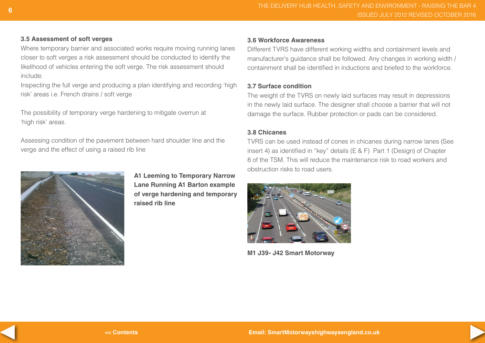#### **3.5 Assessment of soft verges**

Where temporary barrier and associated works require moving running lanes closer to soft verges a risk assessment should be conducted to identify the likelihood of vehicles entering the soft verge. The risk assessment should include:

Inspecting the full verge and producing a plan identifying and recording 'high risk' areas i.e. French drains / soft verge

The possibility of temporary verge hardening to mitigate overrun at 'high risk' areas.

Assessing condition of the pavement between hard shoulder line and the verge and the effect of using a raised rib line



**A1 Leeming to Temporary Narrow Lane Running A1 Barton example of verge hardening and temporary raised rib line**

#### **3.6 Workforce Awareness**

Different TVRS have different working widths and containment levels and manufacturer's guidance shall be followed. Any changes in working width / containment shall be identified in inductions and briefed to the workforce.

#### **3.7 Surface condition**

The weight of the TVRS on newly laid surfaces may result in depressions in the newly laid surface. The designer shall choose a barrier that will not damage the surface. Rubber protection or pads can be considered.

#### **3.8 Chicanes**

TVRS can be used instead of cones in chicanes during narrow lanes (See insert 4) as identified in "key" details (E & F) Part 1 (Design) of Chapter 8 of the TSM. This will reduce the maintenance risk to road workers and obstruction risks to road users.



**M1 J39- J42 Smart Motorway**



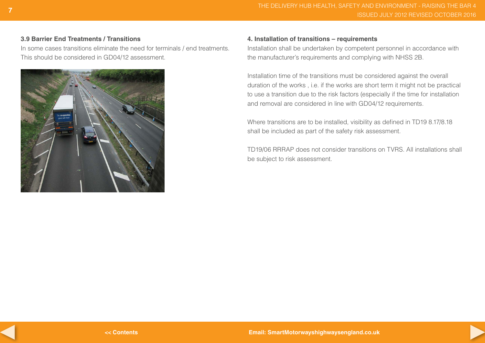#### **3.9 Barrier End Treatments / Transitions**

In some cases transitions eliminate the need for terminals / end treatments. This should be considered in GD04/12 assessment.



#### **4. Installation of transitions – requirements**

Installation shall be undertaken by competent personnel in accordance with the manufacturer's requirements and complying with NHSS 2B.

Installation time of the transitions must be considered against the overall duration of the works , i.e. if the works are short term it might not be practical to use a transition due to the risk factors (especially if the time for installation and removal are considered in line with GD04/12 requirements.

Where transitions are to be installed, visibility as defined in TD19 8.17/8.18 shall be included as part of the safety risk assessment.

TD19/06 RRRAP does not consider transitions on TVRS. All installations shall be subject to risk assessment.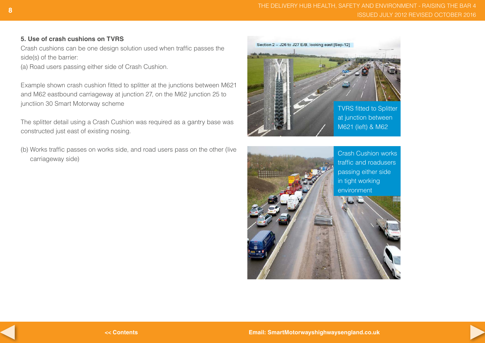#### **5. Use of crash cushions on TVRS**

Crash cushions can be one design solution used when traffic passes the side(s) of the barrier:

(a) Road users passing either side of Crash Cushion.

Example shown crash cushion fitted to splitter at the junctions between M621 and M62 eastbound carriageway at junction 27, on the M62 junction 25 to junctiion 30 Smart Motorway scheme

The splitter detail using a Crash Cushion was required as a gantry base was constructed just east of existing nosing.

(b) Works traffic passes on works side, and road users pass on the other (live carriageway side)





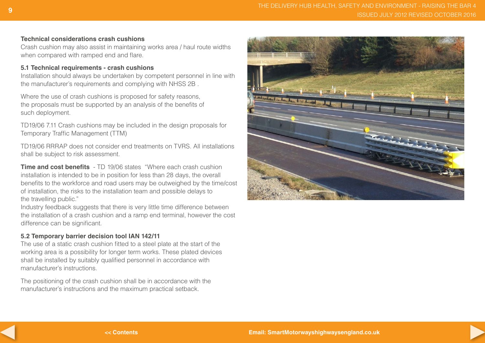#### **Technical considerations crash cushions**

Crash cushion may also assist in maintaining works area / haul route widths when compared with ramped end and flare.

#### **5.1 Technical requirements - crash cushions**

Installation should always be undertaken by competent personnel in line with the manufacturer's requirements and complying with NHSS 2B .

Where the use of crash cushions is proposed for safety reasons, the proposals must be supported by an analysis of the benefits of such deployment.

TD19/06 7.11 Crash cushions may be included in the design proposals for Temporary Traffic Management (TTM)

TD19/06 RRRAP does not consider end treatments on TVRS. All installations shall be subject to risk assessment.

**Time and cost benefits** - TD 19/06 states "Where each crash cushion installation is intended to be in position for less than 28 days, the overall benefits to the workforce and road users may be outweighed by the time/cost of installation, the risks to the installation team and possible delays to the travelling public."

Industry feedback suggests that there is very little time difference between the installation of a crash cushion and a ramp end terminal, however the cost difference can be significant.

#### **5.2 Temporary barrier decision tool IAN 142/11**

The use of a static crash cushion fitted to a steel plate at the start of the working area is a possibility for longer term works. These plated devices shall be installed by suitably qualified personnel in accordance with manufacturer's instructions.

The positioning of the crash cushion shall be in accordance with the manufacturer's instructions and the maximum practical setback.

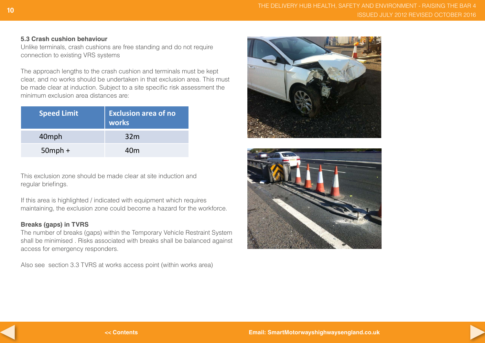#### **5.3 Crash cushion behaviour**

Unlike terminals, crash cushions are free standing and do not require connection to existing VRS systems

The approach lengths to the crash cushion and terminals must be kept clear, and no works should be undertaken in that exclusion area. This must be made clear at induction. Subject to a site specific risk assessment the minimum exclusion area distances are:

| <b>Speed Limit</b> | <b>Exclusion area of no</b><br>works |  |
|--------------------|--------------------------------------|--|
| 40mph              | 32 <sub>m</sub>                      |  |
| $50$ mph +         | 40m                                  |  |

This exclusion zone should be made clear at site induction and regular briefings.

If this area is highlighted / indicated with equipment which requires maintaining, the exclusion zone could become a hazard for the workforce.

#### **Breaks (gaps) in TVRS**

The number of breaks (gaps) within the Temporary Vehicle Restraint System shall be minimised . Risks associated with breaks shall be balanced against access for emergency responders.

Also see section 3.3 TVRS at works access point (within works area)







**<< Contents**

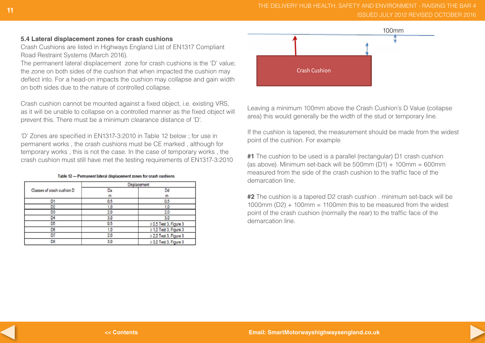#### **5.4 Lateral displacement zones for crash cushions**

Crash Cushions are listed in Highways England List of EN1317 Compliant Road Restraint Systems (March 2016).

The permanent lateral displacement zone for crash cushions is the 'D' value; the zone on both sides of the cushion that when impacted the cushion may deflect into. For a head-on impacts the cushion may collapse and gain width on both sides due to the nature of controlled collapse.

Crash cushion cannot be mounted against a fixed object, i.e. existing VRS, as it will be unable to collapse on a controlled manner as the fixed object will prevent this. There must be a minimum clearance distance of 'D'.

'D' Zones are specified in EN1317-3:2010 in Table 12 below ; for use in permanent works , the crash cushions must be CE marked , although for temporary works , this is not the case. In the case of temporary works , the crash cushion must still have met the testing requirements of EN1317-3:2010

|                            |     | Displacement                |  |
|----------------------------|-----|-----------------------------|--|
| Classes of crash cushion D | Da  | Dd                          |  |
|                            | m   | m                           |  |
| D'                         | 0.5 | 0.5                         |  |
| <u>D2</u>                  | 1,0 |                             |  |
| D <sub>3</sub>             | 2,0 | 2,0                         |  |
| D <sub>4</sub>             | 3,0 | 3,0                         |  |
| D <sub>5</sub>             | 0.5 | $\geq$ 0.5 Test 3, Figure 3 |  |
| D <sub>6</sub>             | 1.0 | $\geq$ 1,0 Test 3, Figure 3 |  |
| D7                         | 2,0 | $\geq$ 2,0 Test 3, Figure 3 |  |
| D8                         | 3,0 | $\geq$ 3.0 Test 3. Figure 3 |  |

Table 12 - Permanent lateral displacement zones for crash cushions



Leaving a minimum 100mm above the Crash Cushion's D Value (collapse area) this would generally be the width of the stud or temporary line.

If the cushion is tapered, the measurement should be made from the widest point of the cushion. For example

**#1** The cushion to be used is a parallel (rectangular) D1 crash cushion (as above). Minimum set-back will be  $500$ mm (D1) +  $100$ mm =  $600$ mm measured from the side of the crash cushion to the traffic face of the demarcation line.

**#2** The cushion is a tapered D2 crash cushion . minimum set-back will be 1000mm ( $D2$ ) + 100mm = 1100mm this to be measured from the widest point of the crash cushion (normally the rear) to the traffic face of the demarcation line.

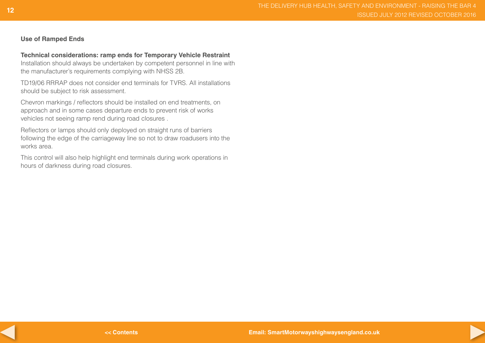#### **Use of Ramped Ends**

#### **Technical considerations: ramp ends for Temporary Vehicle Restraint**

Installation should always be undertaken by competent personnel in line with the manufacturer's requirements complying with NHSS 2B.

TD19/06 RRRAP does not consider end terminals for TVRS. All installations should be subject to risk assessment.

Chevron markings / reflectors should be installed on end treatments, on approach and in some cases departure ends to prevent risk of works vehicles not seeing ramp rend during road closures .

Reflectors or lamps should only deployed on straight runs of barriers following the edge of the carriageway line so not to draw roadusers into the works area.

This control will also help highlight end terminals during work operations in hours of darkness during road closures.



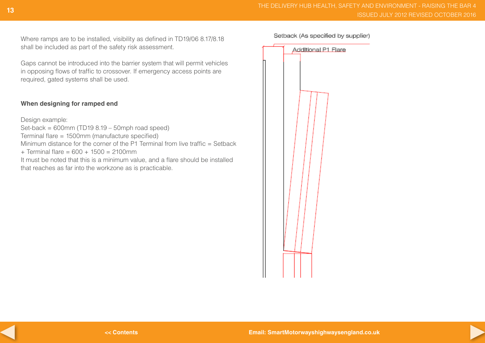Where ramps are to be installed, visibility as defined in TD19/06 8.17/8.18 shall be included as part of the safety risk assessment.

Gaps cannot be introduced into the barrier system that will permit vehicles in opposing flows of traffic to crossover. If emergency access points are required, gated systems shall be used.

#### **When designing for ramped end**

Design example:

Set-back =  $600$ mm (TD19 $8.19 - 50$ mph road speed)

Terminal flare = 1500mm (manufacture specified)

Minimum distance for the corner of the P1 Terminal from live traffic  $=$  Setback

 $+$  Terminal flare = 600  $+$  1500 = 2100mm

It must be noted that this is a minimum value, and a flare should be installed that reaches as far into the workzone as is practicable.

Setback (As specified by supplier)





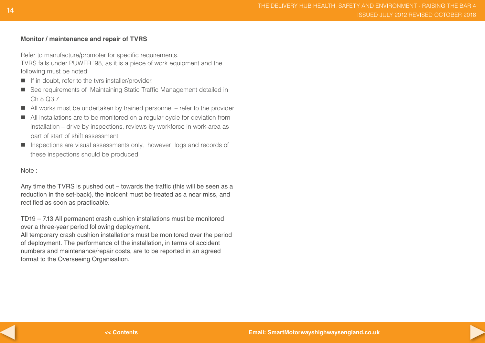#### **Monitor / maintenance and repair of TVRS**

Refer to manufacture/promoter for specific requirements. TVRS falls under PUWER '98, as it is a piece of work equipment and the following must be noted:

- If in doubt, refer to the tvrs installer/provider.
- See requirements of Maintaining Static Traffic Management detailed in Ch 8 Q3.7
- All works must be undertaken by trained personnel refer to the provider
- All installations are to be monitored on a regular cycle for deviation from installation – drive by inspections, reviews by workforce in work-area as part of start of shift assessment.
- **Inspections are visual assessments only, however logs and records of** these inspections should be produced

Note :

Any time the TVRS is pushed out – towards the traffic (this will be seen as a reduction in the set-back), the incident must be treated as a near miss, and rectified as soon as practicable.

TD19 – 7.13 All permanent crash cushion installations must be monitored over a three-year period following deployment.

All temporary crash cushion installations must be monitored over the period of deployment. The performance of the installation, in terms of accident numbers and maintenance/repair costs, are to be reported in an agreed format to the Overseeing Organisation.



**<< Contents**